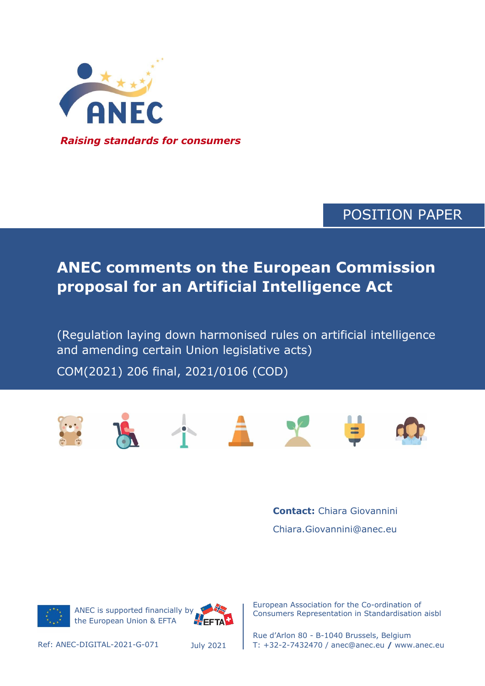

### POSITION PAPER

# **ANEC comments on the European Commission proposal for an Artificial Intelligence Act**

and amending certain Union legislative acts) (Regulation laying down harmonised rules on artificial intelligence

COM(2021) 206 final, 2021/0106 (COD)



**Contact:** Chiara Giovannini Chiara.Giovannini@anec.eu



ANEC is supported financially by the European Union & EFTA



European Association for the Co-ordination of Consumers Representation in Standardisation aisbl

Rue d'Arlon 80 - B-1040 Brussels, Belgium Ref: ANEC-DIGITAL-2021-G-071 T: +32-2-7432470 / anec@anec.eu **/** www.anec.eu

July 2021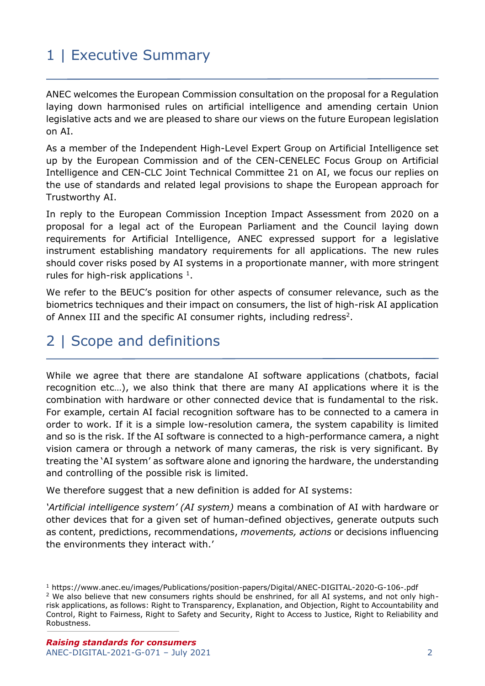# 1 | Executive Summary

ANEC welcomes the European Commission consultation on the proposal for a Regulation laying down harmonised rules on artificial intelligence and amending certain Union legislative acts and we are pleased to share our views on the future European legislation on AI.

As a member of the Independent High-Level Expert Group on Artificial Intelligence set up by the European Commission and of the CEN-CENELEC Focus Group on Artificial Intelligence and CEN-CLC Joint Technical Committee 21 on AI, we focus our replies on the use of standards and related legal provisions to shape the European approach for Trustworthy AI.

In reply to the European Commission Inception Impact Assessment from 2020 on a proposal for a legal act of the European Parliament and the Council laying down requirements for Artificial Intelligence, ANEC expressed support for a legislative instrument establishing mandatory requirements for all applications. The new rules should cover risks posed by AI systems in a proportionate manner, with more stringent rules for high-risk applications  $<sup>1</sup>$ .</sup>

We refer to the BEUC's position for other aspects of consumer relevance, such as the biometrics techniques and their impact on consumers, the list of high-risk AI application of Annex III and the specific AI consumer rights, including redress<sup>2</sup>.

# 2 | Scope and definitions

While we agree that there are standalone AI software applications (chatbots, facial recognition etc…), we also think that there are many AI applications where it is the combination with hardware or other connected device that is fundamental to the risk. For example, certain AI facial recognition software has to be connected to a camera in order to work. If it is a simple low-resolution camera, the system capability is limited and so is the risk. If the AI software is connected to a high-performance camera, a night vision camera or through a network of many cameras, the risk is very significant. By treating the 'AI system' as software alone and ignoring the hardware, the understanding and controlling of the possible risk is limited.

We therefore suggest that a new definition is added for AI systems:

*'Artificial intelligence system' (AI system)* means a combination of AI with hardware or other devices that for a given set of human-defined objectives, generate outputs such as content, predictions, recommendations, *movements, actions* or decisions influencing the environments they interact with.'

<sup>1</sup> https://www.anec.eu/images/Publications/position-papers/Digital/ANEC-DIGITAL-2020-G-106-.pdf <sup>2</sup> We also believe that new consumers rights should be enshrined, for all AI systems, and not only highrisk applications, as follows: Right to Transparency, Explanation, and Objection, Right to Accountability and Control, Right to Fairness, Right to Safety and Security, Right to Access to Justice, Right to Reliability and Robustness.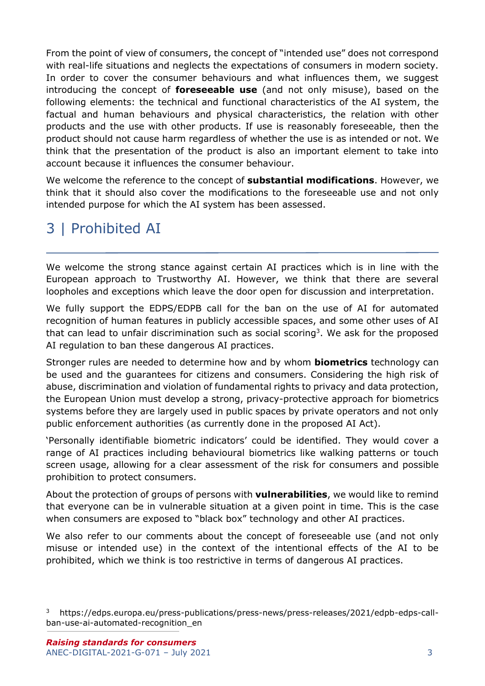From the point of view of consumers, the concept of "intended use" does not correspond with real-life situations and neglects the expectations of consumers in modern society. In order to cover the consumer behaviours and what influences them, we suggest introducing the concept of **foreseeable use** (and not only misuse), based on the following elements: the technical and functional characteristics of the AI system, the factual and human behaviours and physical characteristics, the relation with other products and the use with other products. If use is reasonably foreseeable, then the product should not cause harm regardless of whether the use is as intended or not. We think that the presentation of the product is also an important element to take into account because it influences the consumer behaviour.

We welcome the reference to the concept of **substantial modifications**. However, we think that it should also cover the modifications to the foreseeable use and not only intended purpose for which the AI system has been assessed.

## 3 | Prohibited AI

We welcome the strong stance against certain AI practices which is in line with the European approach to Trustworthy AI. However, we think that there are several loopholes and exceptions which leave the door open for discussion and interpretation.

We fully support the EDPS/EDPB call for the ban on the use of AI for automated recognition of human features in publicly accessible spaces, and some other uses of AI that can lead to unfair discrimination such as social scoring<sup>3</sup>. We ask for the proposed AI regulation to ban these dangerous AI practices.

Stronger rules are needed to determine how and by whom **biometrics** technology can be used and the guarantees for citizens and consumers. Considering the high risk of abuse, discrimination and violation of fundamental rights to privacy and data protection, the European Union must develop a strong, privacy-protective approach for biometrics systems before they are largely used in public spaces by private operators and not only public enforcement authorities (as currently done in the proposed AI Act).

'Personally identifiable biometric indicators' could be identified. They would cover a range of AI practices including behavioural biometrics like walking patterns or touch screen usage, allowing for a clear assessment of the risk for consumers and possible prohibition to protect consumers.

About the protection of groups of persons with **vulnerabilities**, we would like to remind that everyone can be in vulnerable situation at a given point in time. This is the case when consumers are exposed to "black box" technology and other AI practices.

We also refer to our comments about the concept of foreseeable use (and not only misuse or intended use) in the context of the intentional effects of the AI to be prohibited, which we think is too restrictive in terms of dangerous AI practices.

<sup>3</sup> https://edps.europa.eu/press-publications/press-news/press-releases/2021/edpb-edps-callban-use-ai-automated-recognition\_en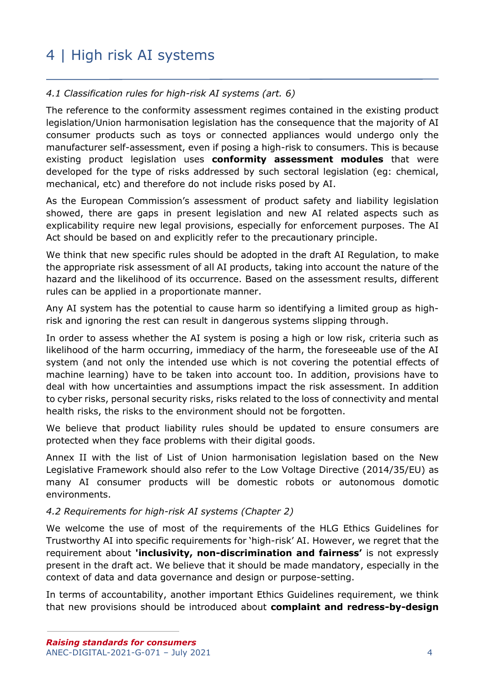# 4 | High risk AI systems

#### *4.1 Classification rules for high-risk AI systems (art. 6)*

The reference to the conformity assessment regimes contained in the existing product legislation/Union harmonisation legislation has the consequence that the majority of AI consumer products such as toys or connected appliances would undergo only the manufacturer self-assessment, even if posing a high-risk to consumers. This is because existing product legislation uses **conformity assessment modules** that were developed for the type of risks addressed by such sectoral legislation (eg: chemical, mechanical, etc) and therefore do not include risks posed by AI.

As the European Commission's assessment of product safety and liability legislation showed, there are gaps in present legislation and new AI related aspects such as explicability require new legal provisions, especially for enforcement purposes. The AI Act should be based on and explicitly refer to the precautionary principle.

We think that new specific rules should be adopted in the draft AI Regulation, to make the appropriate risk assessment of all AI products, taking into account the nature of the hazard and the likelihood of its occurrence. Based on the assessment results, different rules can be applied in a proportionate manner.

Any AI system has the potential to cause harm so identifying a limited group as highrisk and ignoring the rest can result in dangerous systems slipping through.

In order to assess whether the AI system is posing a high or low risk, criteria such as likelihood of the harm occurring, immediacy of the harm, the foreseeable use of the AI system (and not only the intended use which is not covering the potential effects of machine learning) have to be taken into account too. In addition, provisions have to deal with how uncertainties and assumptions impact the risk assessment. In addition to cyber risks, personal security risks, risks related to the loss of connectivity and mental health risks, the risks to the environment should not be forgotten.

We believe that product liability rules should be updated to ensure consumers are protected when they face problems with their digital goods.

Annex II with the list of List of Union harmonisation legislation based on the New Legislative Framework should also refer to the Low Voltage Directive (2014/35/EU) as many AI consumer products will be domestic robots or autonomous domotic environments.

#### *4.2 Requirements for high-risk AI systems (Chapter 2)*

We welcome the use of most of the requirements of the HLG Ethics Guidelines for Trustworthy AI into specific requirements for 'high-risk' AI. However, we regret that the requirement about **'inclusivity, non-discrimination and fairness'** is not expressly present in the draft act. We believe that it should be made mandatory, especially in the context of data and data governance and design or purpose-setting.

In terms of accountability, another important Ethics Guidelines requirement, we think that new provisions should be introduced about **complaint and redress-by-design**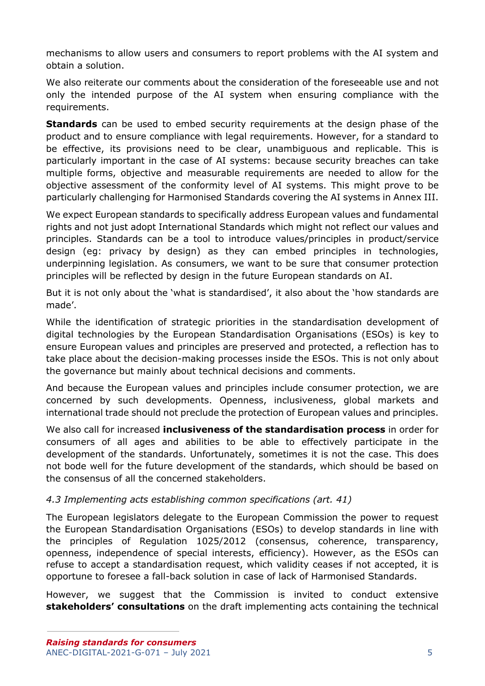mechanisms to allow users and consumers to report problems with the AI system and obtain a solution.

We also reiterate our comments about the consideration of the foreseeable use and not only the intended purpose of the AI system when ensuring compliance with the requirements.

**Standards** can be used to embed security requirements at the design phase of the product and to ensure compliance with legal requirements. However, for a standard to be effective, its provisions need to be clear, unambiguous and replicable. This is particularly important in the case of AI systems: because security breaches can take multiple forms, objective and measurable requirements are needed to allow for the objective assessment of the conformity level of AI systems. This might prove to be particularly challenging for Harmonised Standards covering the AI systems in Annex III.

We expect European standards to specifically address European values and fundamental rights and not just adopt International Standards which might not reflect our values and principles. Standards can be a tool to introduce values/principles in product/service design (eg: privacy by design) as they can embed principles in technologies, underpinning legislation. As consumers, we want to be sure that consumer protection principles will be reflected by design in the future European standards on AI.

But it is not only about the 'what is standardised', it also about the 'how standards are made'.

While the identification of strategic priorities in the standardisation development of digital technologies by the European Standardisation Organisations (ESOs) is key to ensure European values and principles are preserved and protected, a reflection has to take place about the decision-making processes inside the ESOs. This is not only about the governance but mainly about technical decisions and comments.

And because the European values and principles include consumer protection, we are concerned by such developments. Openness, inclusiveness, global markets and international trade should not preclude the protection of European values and principles.

We also call for increased **inclusiveness of the standardisation process** in order for consumers of all ages and abilities to be able to effectively participate in the development of the standards. Unfortunately, sometimes it is not the case. This does not bode well for the future development of the standards, which should be based on the consensus of all the concerned stakeholders.

#### *4.3 Implementing acts establishing common specifications (art. 41)*

The European legislators delegate to the European Commission the power to request the European Standardisation Organisations (ESOs) to develop standards in line with the principles of Regulation 1025/2012 (consensus, coherence, transparency, openness, independence of special interests, efficiency). However, as the ESOs can refuse to accept a standardisation request, which validity ceases if not accepted, it is opportune to foresee a fall-back solution in case of lack of Harmonised Standards.

However, we suggest that the Commission is invited to conduct extensive **stakeholders' consultations** on the draft implementing acts containing the technical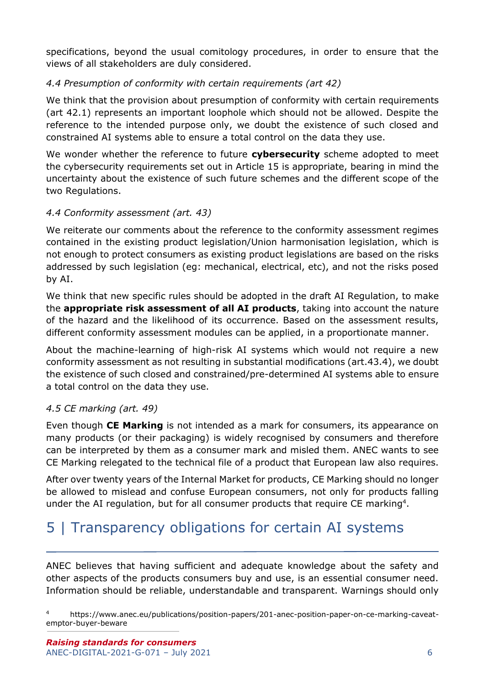specifications, beyond the usual comitology procedures, in order to ensure that the views of all stakeholders are duly considered.

#### *4.4 Presumption of conformity with certain requirements (art 42)*

We think that the provision about presumption of conformity with certain requirements (art 42.1) represents an important loophole which should not be allowed. Despite the reference to the intended purpose only, we doubt the existence of such closed and constrained AI systems able to ensure a total control on the data they use.

We wonder whether the reference to future **cybersecurity** scheme adopted to meet the cybersecurity requirements set out in Article 15 is appropriate, bearing in mind the uncertainty about the existence of such future schemes and the different scope of the two Regulations.

### *4.4 Conformity assessment (art. 43)*

We reiterate our comments about the reference to the conformity assessment regimes contained in the existing product legislation/Union harmonisation legislation, which is not enough to protect consumers as existing product legislations are based on the risks addressed by such legislation (eg: mechanical, electrical, etc), and not the risks posed by AI.

We think that new specific rules should be adopted in the draft AI Regulation, to make the **appropriate risk assessment of all AI products**, taking into account the nature of the hazard and the likelihood of its occurrence. Based on the assessment results, different conformity assessment modules can be applied, in a proportionate manner.

About the machine-learning of high-risk AI systems which would not require a new conformity assessment as not resulting in substantial modifications (art.43.4), we doubt the existence of such closed and constrained/pre-determined AI systems able to ensure a total control on the data they use.

#### *4.5 CE marking (art. 49)*

Even though **CE Marking** is not intended as a mark for consumers, its appearance on many products (or their packaging) is widely recognised by consumers and therefore can be interpreted by them as a consumer mark and misled them. ANEC wants to see CE Marking relegated to the technical file of a product that European law also requires.

After over twenty years of the Internal Market for products, CE Marking should no longer be allowed to mislead and confuse European consumers, not only for products falling under the AI regulation, but for all consumer products that require CE marking<sup>4</sup>.

### 5 | Transparency obligations for certain AI systems

ANEC believes that having sufficient and adequate knowledge about the safety and other aspects of the products consumers buy and use, is an essential consumer need. Information should be reliable, understandable and transparent. Warnings should only

<sup>4</sup> https://www.anec.eu/publications/position-papers/201-anec-position-paper-on-ce-marking-caveatemptor-buyer-beware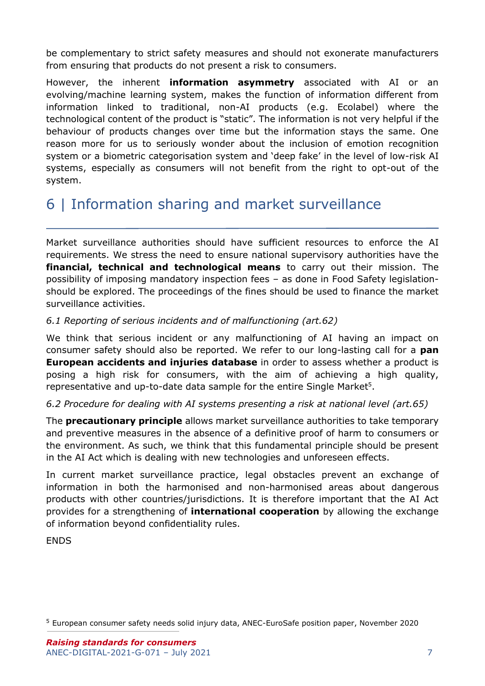be complementary to strict safety measures and should not exonerate manufacturers from ensuring that products do not present a risk to consumers.

However, the inherent **information asymmetry** associated with AI or an evolving/machine learning system, makes the function of information different from information linked to traditional, non-AI products (e.g. Ecolabel) where the technological content of the product is "static". The information is not very helpful if the behaviour of products changes over time but the information stays the same. One reason more for us to seriously wonder about the inclusion of emotion recognition system or a biometric categorisation system and 'deep fake' in the level of low-risk AI systems, especially as consumers will not benefit from the right to opt-out of the system.

### 6 | Information sharing and market surveillance

Market surveillance authorities should have sufficient resources to enforce the AI requirements. We stress the need to ensure national supervisory authorities have the **financial, technical and technological means** to carry out their mission. The possibility of imposing mandatory inspection fees – as done in Food Safety legislationshould be explored. The proceedings of the fines should be used to finance the market surveillance activities.

#### *6.1 Reporting of serious incidents and of malfunctioning (art.62)*

We think that serious incident or any malfunctioning of AI having an impact on consumer safety should also be reported. We refer to our long-lasting call for a **pan European accidents and injuries database** in order to assess whether a product is posing a high risk for consumers, with the aim of achieving a high quality, representative and up-to-date data sample for the entire Single Market<sup>5</sup>.

#### *6.2 Procedure for dealing with AI systems presenting a risk at national level (art.65)*

The **precautionary principle** allows market surveillance authorities to take temporary and preventive measures in the absence of a definitive proof of harm to consumers or the environment. As such, we think that this fundamental principle should be present in the AI Act which is dealing with new technologies and unforeseen effects.

In current market surveillance practice, legal obstacles prevent an exchange of information in both the harmonised and non-harmonised areas about dangerous products with other countries/jurisdictions. It is therefore important that the AI Act provides for a strengthening of **international cooperation** by allowing the exchange of information beyond confidentiality rules.

ENDS

<sup>5</sup> European consumer safety needs solid injury data, ANEC-EuroSafe position paper, November 2020